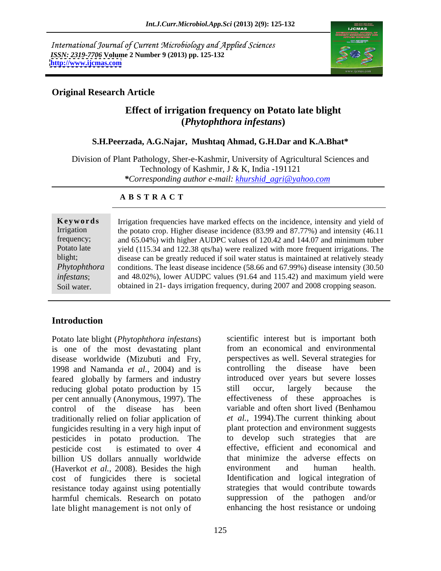International Journal of Current Microbiology and Applied Sciences *ISSN: 2319-7706* **Volume 2 Number 9 (2013) pp. 125-132 <http://www.ijcmas.com>**



## **Original Research Article**

# **Effect of irrigation frequency on Potato late blight (***Phytophthora infestans***)**

#### **S.H.Peerzada, A.G.Najar, Mushtaq Ahmad, G.H.Dar and K.A.Bhat\***

Division of Plant Pathology, Sher-e-Kashmir, University of Agricultural Sciences and Technology of Kashmir, J & K, India -191121 *\*Corresponding author e-mail: khurshid\_agri@yahoo.com*

#### **A B S T R A C T**

|             | Keywords Irrigation frequencies have marked effects on the incidence, intensity and yield of     |
|-------------|--------------------------------------------------------------------------------------------------|
| Irrigation  | the potato crop. Higher disease incidence (83.99 and 87.77%) and intensity (46.11                |
| frequency;  | and 65.04%) with higher AUDPC values of 120.42 and 144.07 and minimum tuber                      |
| Potato late | yield (115.34 and 122.38 qts/ha) were realized with more frequent irrigations. The               |
| blight;     | disease can be greatly reduced if soil water status is maintained at relatively steady           |
|             | Phytophthora conditions. The least disease incidence (58.66 and 67.99%) disease intensity (30.50 |
| infestans;  | and $48.02\%$ ), lower AUDPC values (91.64 and 115.42) and maximum yield were                    |
| Soil water. | obtained in 21- days irrigation frequency, during 2007 and 2008 cropping season.                 |
|             |                                                                                                  |

## **Introduction**

Potato late blight (*Phytophthora infestans*) is one of the most devastating plant disease worldwide (Mizubuti and Fry, perspectives as well. Several strategies for 1998 and Namanda *et al.*, 2004) and is controlling the disease have been 1998 and Namanda *et al.*, 2004) and is feared globally by farmers and industry reducing global potato production by 15 still occur, largely because the per cent annually (Anonymous, 1997). The control of the disease has been variable and often short lived (Benhamou traditionally relied on foliar application of fungicides resulting in a very high input of pesticides in potato production. The pesticide cost is estimated to over 4 effective, efficient and economical and billion US dollars annually worldwide (Haverkot *et al.*, 2008). Besides the high environment and human health. cost of fungicides there is societal resistance today against using potentially strategies that would contribute towards harmful chemicals. Research on potato late blight management is not only of

scientific interest but is important both from an economical and environmental perspectives as well. Several strategies for controlling the disease have been introduced over years but severe losses still occur, largely because the effectiveness of these approaches is *et al.,* 1994).The current thinking about plant protection and environment suggests to develop such strategies that are that minimize the adverse effects on environment and human health. Identification and logical integration of suppression of the pathogen and/or enhancing the host resistance or undoing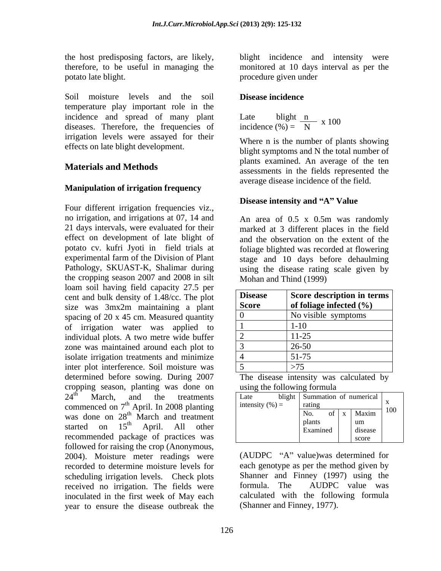therefore, to be useful in managing the potato late blight. procedure given under

Soil moisture levels and the soil **Disease incidence** temperature play important role in the incidence and spread of many plant diseases. Therefore, the frequencies of irrigation levels were assayed for their effects on late blight development.

## **Manipulation of irrigation frequency**

Four different irrigation frequencies viz., no irrigation, and irrigations at 07, 14 and 21 days intervals, were evaluated for their marked at 3 different places in the field effect on development of late blight of and the observation on the extent of the potato cv. kufri Jyoti in field trials at experimental farm of the Division of Plant stage and 10 days before dehaulming Pathology, SKUAST-K, Shalimar during using the disease rating scale given by the cropping season 2007 and 2008 in silt loam soil having field capacity 27.5 per cent and bulk density of 1.48/cc. The plot size was 3mx2m maintaining a plant spacing of 20 x 45 cm. Measured quantity of irrigation water was applied to individual plots. A two metre wide buffer zone was maintained around each plot to isolate irrigation treatments and minimize inter plot interference. Soil moisture was determined before sowing. During 2007 The disease intensity was calculated by cropping season, planting was done on commenced on  $7<sup>th</sup>$  April. In 2008 planting was done on  $28<sup>th</sup>$  March and treatment<br>started on  $15<sup>th</sup>$  April. All other recommended package of practices was followed for raising the crop (Anonymous, 2004). Moisture meter readings were recorded to determine moisture levels for scheduling irrigation levels. Check plots received no irrigation. The fields were formula. The AUDPC value was inoculated in the first week of May each year to ensure the disease outbreak the

the host predisposing factors, are likely, blight incidence and intensity were monitored at 10 days interval as per the

### **Disease incidence**

Late blight  $\frac{n}{N}$  x 100 incidence (%) =  $\frac{N}{N}$ incidence  $(\%) = N$ x 100

**Materials and Methods assessments** in the fields represented the Where n is the number of plants showing blight symptoms and N the total number of plants examined. An average of the ten average disease incidence of the field.

#### **Disease intensity and "A" Value**

An area of 0.5 x 0.5m was randomly foliage blighted was recorded at flowering Mohan and Thind (1999)

| <b>Disease</b> | Score description in terms  |
|----------------|-----------------------------|
| <b>Score</b>   | of foliage infected $(\% )$ |
|                | No visible symptoms         |
|                | $1 - 10$                    |
|                | $11 - 23$                   |
|                | $26 - 50$                   |
|                | --                          |
|                | ں ،                         |

using the following formula

| .don of numerical l<br>treatmen <sup>+</sup><br>and                                                                  |  |
|----------------------------------------------------------------------------------------------------------------------|--|
| intensity $(\% )$ =<br>commenced on $7th$ April. In 2008 planting<br>the contract of the contract of the contract of |  |
| $of \mid x \mid$ Maxim<br>was done on 28 <sup>th</sup> March and treatment                                           |  |
| started on 15 <sup>th</sup> April. All other<br>disease<br>Examined                                                  |  |
| recommended package of practices was                                                                                 |  |

 $(AUDPC "A" value)$ was determined for each genotype as per the method given by Shanner and Finney (1997) using the formula. The AUDPC value was calculated with the following formula (Shanner and Finney, 1977).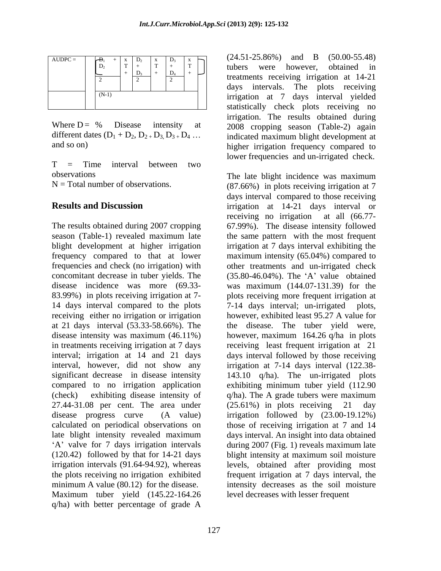| $AUDPC =$ |                         | $(24.51 - 25.86\%)$<br>$(50.00 - 55.48)$<br>$\mathbf{B}$<br>and |  |
|-----------|-------------------------|-----------------------------------------------------------------|--|
|           | $\sim$<br>$\mathbf{D}$  | obtained<br>however.<br>were<br>tubers                          |  |
|           | D <sub>3</sub><br>$D_4$ | treatments receiving irrigation at 14-21                        |  |
|           |                         | intervals. The plots receiving<br>days                          |  |
|           | $(N-1)$                 | yielded<br>interval<br>irrigation at<br>davs                    |  |
|           |                         | statistically check plots receiving no                          |  |

T = Time interval between two observations The late blight incidence was maximum

concomitant decrease in tuber yields. The (35.80-46.04%). The 'A' value obtained receiving either no irrigation or irrigation 27.44-31.08 per cent. The area under  $(25.61\%)$  in plots receiving 21 day Maximum tuber yield (145.22-164.26 q/ha) with better percentage of grade A

Where  $D = \%$  Disease intensity at 2008 cropping season (Table-2) again different dates  $(D_1 + D_2, D_2 + D_3, D_3 + D_4 \dots$  indicated maximum blight development at and so on) higher irrigation frequency compared to (24.51-25.86%) and B (50.00-55.48) tubers were however, obtained in  $\frac{2}{2}$   $\frac{1}{2}$   $\frac{1}{2}$   $\frac{1}{2}$   $\frac{1}{2}$   $\frac{1}{2}$  treatments receiving irrigation at 14-21 days intervals. The plots receiving irrigation at 7 days interval yielded statistically check plots receiving no irrigation. The results obtained during lower frequencies and un-irrigated check.  $B_1$  +  $x \mid D_2$   $x \mid D_3$   $x \mid D_1$  (24.31-23.60%) and B (30.00-33.46)  $\begin{bmatrix} x \\ y \\ z \\ z + z \\ z \end{bmatrix}$   $\begin{bmatrix} x \\ y \\ z \\ z \\ z \end{bmatrix}$   $\begin{bmatrix} x \\ y \\ z \\ z \\ z \end{bmatrix}$   $\begin{bmatrix} x \\ y \\ z \\ z \\ z \end{bmatrix}$   $\begin{bmatrix} (24.51 - 25.60\%) & and & \mathbf{D} & (50.00 - 55.46) \\ \text{tubers} & were & however, & obtained & \text{in} \\ \text{tubers} & 0 & 0 & 0 & 0 \\ \text{tubers} & 0 & 0 & 0 & 0 \\ \end{bmatrix}$  $\begin{bmatrix} x \\ y \\ z \\ z \\ z \\ z \end{bmatrix}$  +  $\begin{bmatrix} x \\ y \\ z \\ z \\ z \\ z \end{bmatrix}$  +  $\begin{bmatrix} (24.51 - 25.60\%) & \text{and} & \text{B} & (50.00 - 55.46) \\ \text{tubers} & \text{were} & \text{however}, & \text{obtained} & \text{in} \\ \text{tubers} & \text{were} & \text{it} & \text{it} & \text{it} \end{bmatrix}$  $\begin{bmatrix} \frac{x}{1} \\ \frac{y}{1} \end{bmatrix}$  (24.51-25.80%) and B (50.00-55.48)

 $N =$  Total number of observations. (87.66%) in plots receiving irrigation at 7 **Results and Discussion irrigation** at 14-21 days interval or The results obtained during 2007 cropping 67.99%). The disease intensity followed season (Table-1) revealed maximum late the same pattern with the most frequent blight development at higher irrigation irrigation at 7 days interval exhibiting the frequency compared to that at lower maximum intensity (65.04%) compared to frequencies and check (no irrigation) with other treatments and un-irrigated check disease incidence was more (69.33- was maximum (144.07-131.39) for the 83.99%) in plots receiving irrigation at 7- plots receiving more frequent irrigation at 14 days interval compared to the plots 7-14 days interval; un-irrigated plots, at 21 days interval (53.33-58.66%). The the disease. The tuber yield were, disease intensity was maximum (46.11%) however, maximum 164.26 q/ha in plots in treatments receiving irrigation at 7 days receiving least frequent irrigation at 21 interval; irrigation at 14 and 21 days days interval followed by those receiving interval, however, did not show any irrigation at 7-14 days interval (122.38 significant decrease in disease intensity 143.10 q/ha). The un-irrigated plots compared to no irrigation application exhibiting minimum tuber yield (112.90 (check) exhibiting disease intensity of q/ha). The A grade tubers were maximum disease progress curve (A value) irrigation followed by (23.00-19.12%) calculated on periodical observations on those of receiving irrigation at 7 and 14 late blight intensity revealed maximum days interval. An insight into data obtained A' valve for 7 days irrigation intervals during 2007 (Fig. 1) reveals maximum late (120.42) followed by that for 14-21 days blight intensity at maximum soil moisture irrigation intervals (91.64-94.92), whereas levels, obtained after providing most the plots receiving no irrigation exhibited frequent irrigation at 7 days interval, the minimum A value (80.12) for the disease. intensity decreases as the soil moisture days interval compared to those receiving receiving no irrigation at all (66.77-  $(35.80-46.04\%)$ . The 'A' value obtained however, exhibited least 95.27 A value for  $(25.61\%)$  in plots receiving level decreases with lesser frequent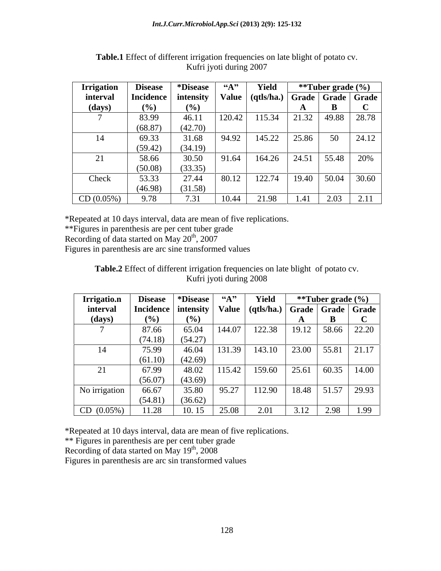| <b>Irrigation</b> | <b>Disease</b>                                                     | Disease |        | Yield  |       | **Tuber grade (%)     |       |
|-------------------|--------------------------------------------------------------------|---------|--------|--------|-------|-----------------------|-------|
| interval          | Incidence   intensity   Value   (qtls/ha.)   Grade   Grade   Grade |         |        |        |       |                       |       |
| (days)            |                                                                    | (%)     |        |        |       |                       |       |
|                   | 83.99                                                              | 46.1.   | 120.42 | 115.34 |       | 21.32   49.88   28.78 |       |
|                   | (68.87)                                                            | (42.70) |        |        |       |                       |       |
| 14                | 69.33                                                              | 31.68   | 94.92  | 145.22 | 25.86 | $50-1$                | 24.12 |
|                   | (59.42)                                                            | (34.19) |        |        |       |                       |       |
| 21                | 58.66                                                              | 30.50   | 91.64  | 164.26 |       | 24.51   55.48   20%   |       |
|                   | (50.08)                                                            | (33.35) |        |        |       |                       |       |
| Check             | 53.33                                                              | 27.44   | 80.12  | 122.74 |       | $19.40$ 50.04 30.60   |       |
|                   | (46.98)                                                            | (31.58) |        |        |       |                       |       |
| CD(0.05%)         | 9.78                                                               | 7.31    | 10.44  | 21.98  | 1.41  | 2.03                  | 2.11  |

Table.1 Effect of different irrigation frequencies on late blight of potato cv.<br>Kufri jyoti during 2007 Kufri jyoti during 2007

\*Repeated at 10 days interval, data are mean of five replications.

\*\*Figures in parenthesis are per cent tuber grade

Recording of data started on May 20<sup>th</sup>, 2007

Figures in parenthesis are arc sine transformed values

**Table.2** Effect of different irrigation frequencies on late blight of potato cv. Kufri jyoti during 2008

| Irrigatio.n   | <b>Disease</b>                                                                  | <i><b>*Disease</b></i> | $\mathbf{A}^{\bullet}$ | Yield  |      | **Tuber grade (%)                                                                    |
|---------------|---------------------------------------------------------------------------------|------------------------|------------------------|--------|------|--------------------------------------------------------------------------------------|
| interval      | Incidence   intensity   Value   (qtls/ha.)   Grade   Grade   Grade <sup> </sup> |                        |                        |        |      |                                                                                      |
| (days)        | (9/0)                                                                           |                        |                        |        |      |                                                                                      |
|               | 87.66                                                                           | 65.04                  | 144.07                 | 122.38 |      | $19.12$ 58.66 22.20                                                                  |
|               | (74.18)                                                                         | (54.27)                |                        |        |      |                                                                                      |
| 14            | 75.99                                                                           | 46.04                  | 131.39                 | 143.10 |      | 23.00   55.81   21.17                                                                |
|               | (61.10)                                                                         | (42.69)                |                        |        |      |                                                                                      |
| 21            | 67.99                                                                           | 48.02                  | 115.42                 | 159.60 |      | $\begin{array}{ c c c c c c c c } \hline 25.61 & 60.35 & 14.00 \\\hline \end{array}$ |
|               | (56.07)                                                                         | (43.69)                |                        |        |      |                                                                                      |
| No irrigation | 66.67                                                                           | 35.80                  | 95.27                  | 112.90 |      | $18.48$ 51.57 29.93                                                                  |
|               | (54.81)                                                                         | (36.62)                |                        |        |      |                                                                                      |
| CD (0.05%)    | 11.28                                                                           | 10.15                  | 25.08                  | 2.01   | 3.12 | 2.98 1.99                                                                            |

\*Repeated at 10 days interval, data are mean of five replications.

\*\* Figures in parenthesis are per cent tuber grade

Recording of data started on May  $19^{th}$ , 2008

Figures in parenthesis are arc sin transformed values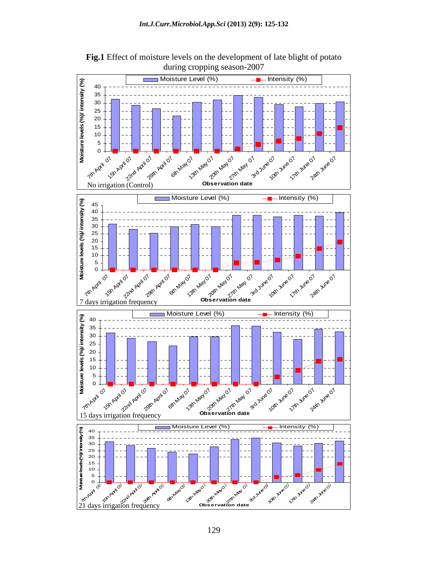

**Fig.1** Effect of moisture levels on the development of late blight of potato during cropping season-2007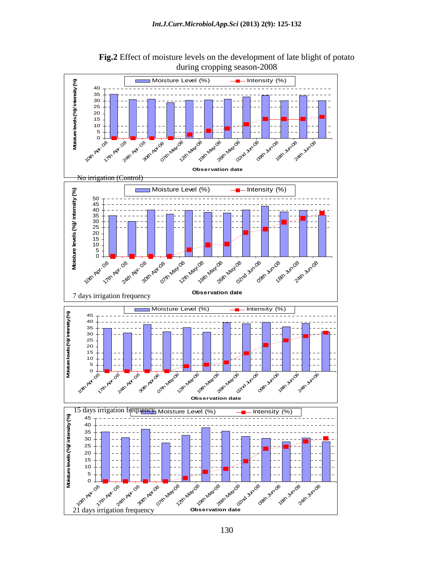

**Fig.2** Effect of moisture levels on the development of late blight of potato during cropping season-2008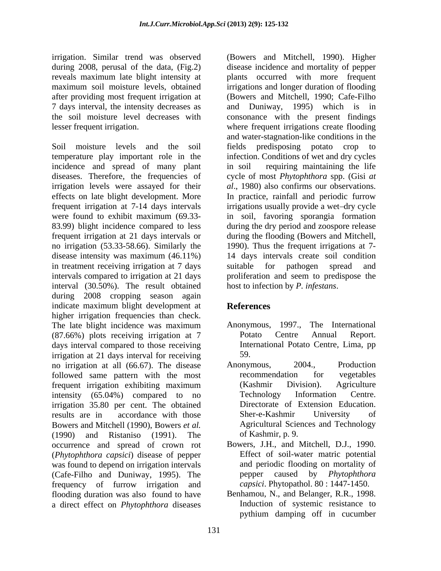7 days interval, the intensity decreases as and Duniway, 1995) which is in

Soil moisture levels and the soil fields predisposing potato crop to temperature play important role in the infection. Conditions of wet and dry cycles incidence and spread of many plant diseases. Therefore, the frequencies of cycle of most *Phytophthora* spp. (Gisi *at*  irrigation levels were assayed for their effects on late blight development. More frequent irrigation at 7-14 days intervals irrigations usually provide a wet-dry cycle were found to exhibit maximum (69.33- in soil, favoring sporangia formation 83.99) blight incidence compared to less during the dry period and zoospore release frequent irrigation at 21 days intervals or during the flooding (Bowers and Mitchell, no irrigation (53.33-58.66). Similarly the 1990). Thus the frequent irrigations at 7 disease intensity was maximum (46.11%) in treatment receiving irrigation at 7 days suitable for pathogen spread and intervals compared to irrigation at 21 days proliferation and seem to predispose the interval (30.50%). The result obtained during 2008 cropping season again indicate maximum blight development at **References** higher irrigation frequencies than check. The late blight incidence was maximum Anonymous, 1997., The International (87.66%) plots receiving irrigation at 7 days interval compared to those receiving irrigation at 21 days interval for receiving 59.<br>
no irrigation at all (66.67). The disease Anonymous, 2004., Production no irrigation at all (66.67). The disease followed same pattern with the most recommendation for vegetables frequent irrigation exhibiting maximum (Kashmir Division). Agriculture intensity (65.04%) compared to no Technology Information Centre. irrigation 35.80 per cent. The obtained<br>
results are in accordance with those Sher-e-Kashmir University results are in accordance with those Sher-e-Kashmir University of Bowers and Mitchell (1990), Bowers *et al.* (1990) and Ristaniso (1991). The occurrence and spread of crown rot (*Phytophthora capsici*) disease of pepper was found to depend on irrigation intervals (Cafe-Filho and Duniway, 1995). The frequency of furrow irrigation and flooding duration was also found to have

irrigation. Similar trend was observed (Bowers and Mitchell, 1990). Higher during 2008, perusal of the data, (Fig.2) disease incidence and mortality of pepper reveals maximum late blight intensity at plants occurred with more frequent maximum soil moisture levels, obtained irrigations and longer duration of flooding after providing most frequent irrigation at (Bowers and Mitchell, 1990; Cafe-Filho the soil moisture level decreases with consonance with the present findings lesser frequent irrigation. where frequent irrigations create flooding and Duniway, 1995) which is in and water-stagnation-like conditions in the fields predisposing potato crop to requiring maintaining the life *al*., 1980) also confirms our observations. In practice, rainfall and periodic furrow 14 days intervals create soil condition suitable for pathogen spread and host to infection by *P. infestans*.

# **References**

- Anonymous, 1997., The International Potato Centre Annual Report. International Potato Centre, Lima, pp 59.
- Anonymous, 2004., Production recommendation for vegetables (Kashmir Division). Agriculture Technology Information Centre. Directorate of Extension Education. Sher-e-Kashmir University of Agricultural Sciences and Technology of Kashmir, p. 9.
- Bowers, J.H., and Mitchell, D.J., 1990. Effect of soil-water matric potential and periodic flooding on mortality of pepper caused by *Phytophthora capsici*. Phytopathol. 80 : 1447-1450.
- a direct effect on *Phytophthora* diseases a linduction of systemic resistance to pythium damping off in cucumber Benhamou, N., and Belanger, R.R., 1998. Induction of systemic resistance to pythium damping off in cucumber